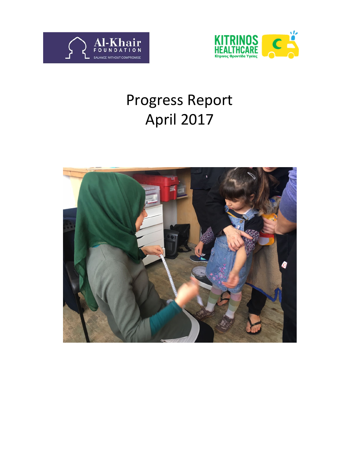



# Progress Report April 2017

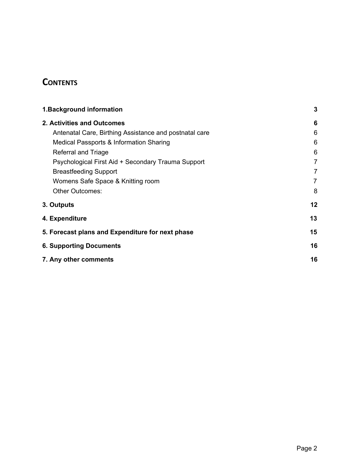# **CONTENTS**

| 1. Background information                              | $\mathbf{3}$   |
|--------------------------------------------------------|----------------|
| 2. Activities and Outcomes                             | 6              |
| Antenatal Care, Birthing Assistance and postnatal care | 6              |
| Medical Passports & Information Sharing                | 6              |
| Referral and Triage                                    | 6              |
| Psychological First Aid + Secondary Trauma Support     | $\overline{7}$ |
| <b>Breastfeeding Support</b>                           | 7              |
| Womens Safe Space & Knitting room                      | 7              |
| <b>Other Outcomes:</b>                                 | 8              |
| 3. Outputs                                             | 12             |
| 4. Expenditure                                         | 13             |
| 5. Forecast plans and Expenditure for next phase       | 15             |
| <b>6. Supporting Documents</b>                         | 16             |
| 7. Any other comments                                  | 16             |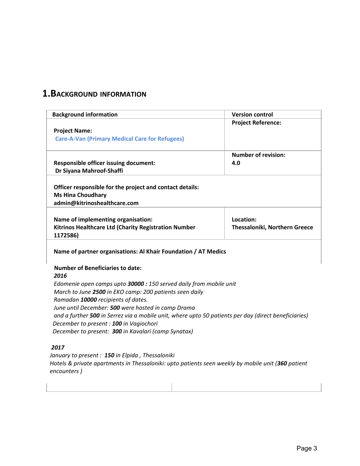### <span id="page-2-0"></span>**1.BACKGROUND INFORMATION**

| <b>Background information</b>                                                                                                 | <b>Version control</b>        |
|-------------------------------------------------------------------------------------------------------------------------------|-------------------------------|
|                                                                                                                               | <b>Project Reference:</b>     |
| <b>Project Name:</b><br><b>Care-A-Van (Primary Medical Care for Refugees)</b>                                                 |                               |
|                                                                                                                               |                               |
|                                                                                                                               | <b>Number of revision:</b>    |
| <b>Responsible officer issuing document:</b>                                                                                  | 4.0                           |
| Dr Siyana Mahroof-Shaffi                                                                                                      |                               |
| Officer responsible for the project and contact details:                                                                      |                               |
| <b>Ms Hina Choudhary</b>                                                                                                      |                               |
| admin@kitrinoshealthcare.com                                                                                                  |                               |
|                                                                                                                               |                               |
| Name of implementing organisation:                                                                                            | Location:                     |
| Kitrinos Healthcare Ltd (Charity Registration Number<br>1172586)                                                              | Thessaloniki, Northern Greece |
| Name of partner organisations: Al Khair Foundation / AT Medics                                                                |                               |
| <b>Number of Beneficiaries to date:</b>                                                                                       |                               |
| 2016                                                                                                                          |                               |
|                                                                                                                               |                               |
|                                                                                                                               |                               |
| Edomenie open camps upto 30000 : 150 served daily from mobile unit<br>March to June 2500 in EKO camp: 200 patients seen daily |                               |
| Ramadan 10000 recipients of dates.                                                                                            |                               |
| June until December: 500 were hosted in camp Drama                                                                            |                               |
| and a further 500 in Serrez via a mobile unit, where upto 50 patients per day (direct beneficiaries)                          |                               |
| December to present : 100 in Vagiochori                                                                                       |                               |

*2017*

*January to present : 150 in Elpida , Thessaloniki Hotels & private apartments in Thessaloniki: upto patients seen weekly by mobile unit (360 patient encounters )*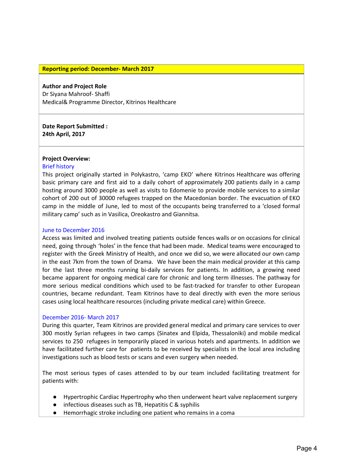#### **Reporting period: December- March 2017**

#### **Author and Project Role**

Dr Siyana Mahroof- Shaffi Medical& Programme Director, Kitrinos Healthcare

**Date Report Submitted : 24th April, 2017**

#### **Project Overview:**

#### Brief history

This project originally started in Polykastro, 'camp EKO' where Kitrinos Healthcare was offering basic primary care and first aid to a daily cohort of approximately 200 patients daily in a camp hosting around 3000 people as well as visits to Edomenie to provide mobile services to a similar cohort of 200 out of 30000 refugees trapped on the Macedonian border. The evacuation of EKO camp in the middle of June, led to most of the occupants being transferred to a 'closed formal military camp' such as in Vasilica, Oreokastro and Giannitsa.

#### June to December 2016

Access was limited and involved treating patients outside fences walls or on occasions for clinical need, going through 'holes' in the fence that had been made. Medical teams were encouraged to register with the Greek Ministry of Health, and once we did so, we were allocated our own camp in the east 7km from the town of Drama. We have been the main medical provider at this camp for the last three months running bi-daily services for patients. In addition, a growing need became apparent for ongoing medical care for chronic and long term illnesses. The pathway for more serious medical conditions which used to be fast-tracked for transfer to other European countries, became redundant. Team Kitrinos have to deal directly with even the more serious cases using local healthcare resources (including private medical care) within Greece.

#### December 2016- March 2017

During this quarter, Team Kitrinos are provided general medical and primary care services to over 300 mostly Syrian refugees in two camps (Sinatex and Elpida, Thessaloniki) and mobile medical services to 250 refugees in temporarily placed in various hotels and apartments. In addition we have facilitated further care for patients to be received by specialists in the local area including investigations such as blood tests or scans and even surgery when needed.

The most serious types of cases attended to by our team included facilitating treatment for patients with:

- Hypertrophic Cardiac Hypertrophy who then underwent heart valve replacement surgery
- infectious diseases such as TB, Hepatitis C & syphilis
- Hemorrhagic stroke including one patient who remains in a coma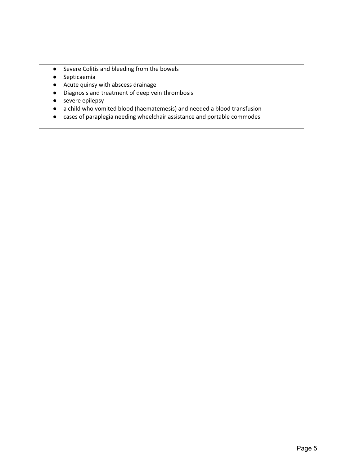- Severe Colitis and bleeding from the bowels
- Septicaemia
- Acute quinsy with abscess drainage
- Diagnosis and treatment of deep vein thrombosis
- severe epilepsy
- a child who vomited blood (haematemesis) and needed a blood transfusion
- cases of paraplegia needing wheelchair assistance and portable commodes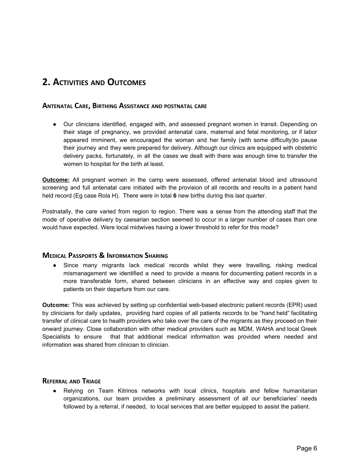### <span id="page-5-3"></span><span id="page-5-0"></span>**2. ACTIVITIES AND OUTCOMES**

#### **ANTENATAL CARE, BIRTHING ASSISTANCE AND POSTNATAL CARE**

● Our clinicians identified, engaged with, and assessed pregnant women in transit. Depending on their stage of pregnancy, we provided antenatal care, maternal and fetal monitoring, or if labor appeared imminent, we encouraged the woman and her family (with some difficulty)to pause their journey and they were prepared for delivery. Although our clinics are equipped with obstetric delivery packs, fortunately, in all the cases we dealt with there was enough time to transfer the women to hospital for the birth at least.

**Outcome:** All pregnant women in the camp were assessed, offered antenatal blood and ultrasound screening and full antenatal care initiated with the provision of all records and results in a patient hand held record (Eg case Rola H). There were in total **6** new births during this last quarter.

Postnatally, the care varied from region to region. There was a sense from the attending staff that the mode of operative delivery by caesarian section seemed to occur in a larger number of cases than one would have expected. Were local midwives having a lower threshold to refer for this mode?

#### <span id="page-5-2"></span>**MEDICAL PASSPORTS & INFORMATION SHARING**

Since many migrants lack medical records whilst they were travelling, risking medical mismanagement we identified a need to provide a means for documenting patient records in a more transferable form, shared between clinicians in an effective way and copies given to patients on their departure from our care.

**Outcome:** This was achieved by setting up confidential web-based electronic patient records (EPR) used by clinicians for daily updates, providing hard copies of all patients records to be "hand held" facilitating transfer of clinical care to health providers who take over the care of the migrants as they proceed on their onward journey. Close collaboration with other medical providers such as MDM, WAHA and local Greek Specialists to ensure that that additional medical information was provided where needed and information was shared from clinician to clinician.

#### <span id="page-5-1"></span>**REFERRAL AND TRIAGE**

● Relying on Team Kitrinos networks with local clinics, hospitals and fellow humanitarian organizations, our team provides a preliminary assessment of all our beneficiaries' needs followed by a referral, if needed, to local services that are better equipped to assist the patient.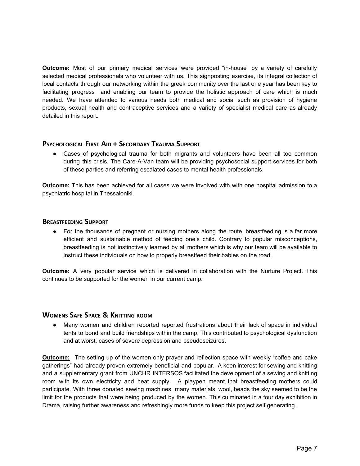**Outcome:** Most of our primary medical services were provided "in-house" by a variety of carefully selected medical professionals who volunteer with us. This signposting exercise, its integral collection of local contacts through our networking within the greek community over the last one year has been key to facilitating progress and enabling our team to provide the holistic approach of care which is much needed. We have attended to various needs both medical and social such as provision of hygiene products, sexual health and contraceptive services and a variety of specialist medical care as already detailed in this report.

#### <span id="page-6-0"></span>**PSYCHOLOGICAL FIRST AID + SECONDARY TRAUMA SUPPORT**

● Cases of psychological trauma for both migrants and volunteers have been all too common during this crisis. The Care-A-Van team will be providing psychosocial support services for both of these parties and referring escalated cases to mental health professionals.

**Outcome:** This has been achieved for all cases we were involved with with one hospital admission to a psychiatric hospital in Thessaloniki.

#### <span id="page-6-2"></span>**BREASTFEEDING SUPPORT**

• For the thousands of pregnant or nursing mothers along the route, breastfeeding is a far more efficient and sustainable method of feeding one's child. Contrary to popular misconceptions, breastfeeding is not instinctively learned by all mothers which is why our team will be available to instruct these individuals on how to properly breastfeed their babies on the road.

**Outcome:** A very popular service which is delivered in collaboration with the Nurture Project. This continues to be supported for the women in our current camp.

#### <span id="page-6-1"></span>**WOMENS SAFE SPACE & KNITTING ROOM**

• Many women and children reported reported frustrations about their lack of space in individual tents to bond and build friendships within the camp. This contributed to psychological dysfunction and at worst, cases of severe depression and pseudoseizures.

**Outcome:** The setting up of the women only prayer and reflection space with weekly "coffee and cake gatherings" had already proven extremely beneficial and popular. A keen interest for sewing and knitting and a supplementary grant from UNCHR INTERSOS facilitated the development of a sewing and knitting room with its own electricity and heat supply. A playpen meant that breastfeeding mothers could participate. With three donated sewing machines, many materials, wool, beads the sky seemed to be the limit for the products that were being produced by the women. This culminated in a four day exhibition in Drama, raising further awareness and refreshingly more funds to keep this project self generating.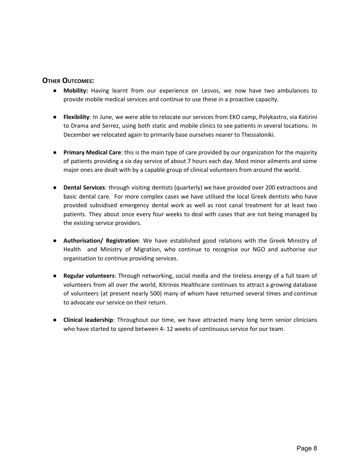#### <span id="page-7-0"></span>**OTHER OUTCOMES:**

- **Mobility:** Having learnt from our experience on Lesvos, we now have two ambulances to provide mobile medical services and continue to use these in a proactive capacity.
- **Flexibility**: In June, we were able to relocate our services from EKO camp, Polykastro, via Katirini to Drama and Serrez, using both static and mobile clinics to see patients in several locations. In December we relocated again to primarily base ourselves nearer to Thessaloniki.
- **Primary Medical Care**: this is the main type of care provided by our organization for the majority of patients providing a six day service of about 7 hours each day. Most minor ailments and some major ones are dealt with by a capable group of clinical volunteers from around the world.
- **Dental Services**: through visiting dentists (quarterly) we have provided over 200 extractions and basic dental care. For more complex cases we have utilised the local Greek dentists who have provided subsidised emergency dental work as well as root canal treatment for at least two patients. They about once every four weeks to deal with cases that are not being managed by the existing service providers.
- **Authorisation/ Registration**: We have established good relations with the Greek Ministry of Health and Ministry of Migration, who continue to recognise our NGO and authorise our organisation to continue providing services.
- **Regular volunteers**: Through networking, social media and the tireless energy of a full team of volunteers from all over the world, Kitrinos Healthcare continues to attract a growing database of volunteers (at present nearly 500) many of whom have returned several times and continue to advocate our service on their return.
- **Clinical leadership**: Throughout our time, we have attracted many long term senior clinicians who have started to spend between 4- 12 weeks of continuous service for our team.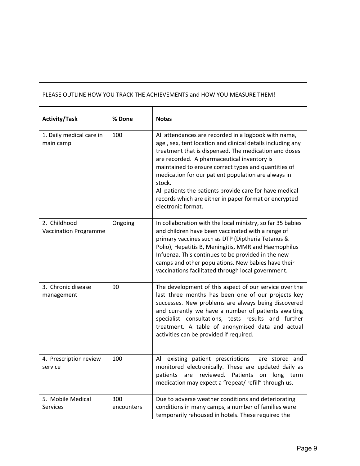| PLEASE OUTLINE HOW YOU TRACK THE ACHIEVEMENTS and HOW YOU MEASURE THEM! |                   |                                                                                                                                                                                                                                                                                                                                                                                                                                                                                               |  |
|-------------------------------------------------------------------------|-------------------|-----------------------------------------------------------------------------------------------------------------------------------------------------------------------------------------------------------------------------------------------------------------------------------------------------------------------------------------------------------------------------------------------------------------------------------------------------------------------------------------------|--|
| <b>Activity/Task</b>                                                    | % Done            | <b>Notes</b>                                                                                                                                                                                                                                                                                                                                                                                                                                                                                  |  |
| 1. Daily medical care in<br>main camp                                   | 100               | All attendances are recorded in a logbook with name,<br>age, sex, tent location and clinical details including any<br>treatment that is dispensed. The medication and doses<br>are recorded. A pharmaceutical inventory is<br>maintained to ensure correct types and quantities of<br>medication for our patient population are always in<br>stock.<br>All patients the patients provide care for have medical<br>records which are either in paper format or encrypted<br>electronic format. |  |
| 2. Childhood<br><b>Vaccination Programme</b>                            | Ongoing           | In collaboration with the local ministry, so far 35 babies<br>and children have been vaccinated with a range of<br>primary vaccines such as DTP (Diptheria Tetanus &<br>Polio), Hepatitis B, Meningitis, MMR and Haemophilus<br>Infuenza. This continues to be provided in the new<br>camps and other populations. New babies have their<br>vaccinations facilitated through local government.                                                                                                |  |
| 3. Chronic disease<br>management                                        | 90                | The development of this aspect of our service over the<br>last three months has been one of our projects key<br>successes. New problems are always being discovered<br>and currently we have a number of patients awaiting<br>specialist consultations, tests results and further<br>treatment. A table of anonymised data and actual<br>activities can be provided if required.                                                                                                              |  |
| 4. Prescription review<br>service                                       | 100               | All existing patient prescriptions<br>are stored and<br>monitored electronically. These are updated daily as<br>reviewed. Patients<br>patients<br>are<br>on<br>long term<br>medication may expect a "repeat/ refill" through us.                                                                                                                                                                                                                                                              |  |
| 5. Mobile Medical<br><b>Services</b>                                    | 300<br>encounters | Due to adverse weather conditions and deteriorating<br>conditions in many camps, a number of families were<br>temporarily rehoused in hotels. These required the                                                                                                                                                                                                                                                                                                                              |  |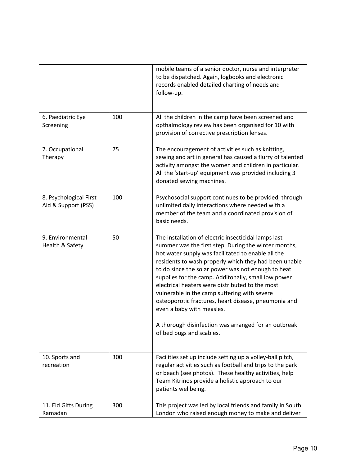|                                               |     | mobile teams of a senior doctor, nurse and interpreter<br>to be dispatched. Again, logbooks and electronic<br>records enabled detailed charting of needs and<br>follow-up.                                                                                                                                                                                                                                                                                                                                                                                                               |
|-----------------------------------------------|-----|------------------------------------------------------------------------------------------------------------------------------------------------------------------------------------------------------------------------------------------------------------------------------------------------------------------------------------------------------------------------------------------------------------------------------------------------------------------------------------------------------------------------------------------------------------------------------------------|
| 6. Paediatric Eye<br>Screening                | 100 | All the children in the camp have been screened and<br>opthalmology review has been organised for 10 with<br>provision of corrective prescription lenses.                                                                                                                                                                                                                                                                                                                                                                                                                                |
| 7. Occupational<br>Therapy                    | 75  | The encouragement of activities such as knitting,<br>sewing and art in general has caused a flurry of talented<br>activity amongst the women and children in particular.<br>All the 'start-up' equipment was provided including 3<br>donated sewing machines.                                                                                                                                                                                                                                                                                                                            |
| 8. Psychological First<br>Aid & Support (PSS) | 100 | Psychosocial support continues to be provided, through<br>unlimited daily interactions where needed with a<br>member of the team and a coordinated provision of<br>basic needs.                                                                                                                                                                                                                                                                                                                                                                                                          |
| 9. Environmental<br>Health & Safety           | 50  | The installation of electric insecticidal lamps last<br>summer was the first step. During the winter months,<br>hot water supply was facilitated to enable all the<br>residents to wash properly which they had been unable<br>to do since the solar power was not enough to heat<br>supplies for the camp. Additonally, small low power<br>electrical heaters were distributed to the most<br>vulnerable in the camp suffering with severe<br>osteoporotic fractures, heart disease, pneumonia and<br>even a baby with measles.<br>A thorough disinfection was arranged for an outbreak |
|                                               |     | of bed bugs and scabies.                                                                                                                                                                                                                                                                                                                                                                                                                                                                                                                                                                 |
| 10. Sports and<br>recreation                  | 300 | Facilities set up include setting up a volley-ball pitch,<br>regular activities such as football and trips to the park<br>or beach (see photos). These healthy activities, help<br>Team Kitrinos provide a holistic approach to our<br>patients wellbeing.                                                                                                                                                                                                                                                                                                                               |
| 11. Eid Gifts During<br>Ramadan               | 300 | This project was led by local friends and family in South<br>London who raised enough money to make and deliver                                                                                                                                                                                                                                                                                                                                                                                                                                                                          |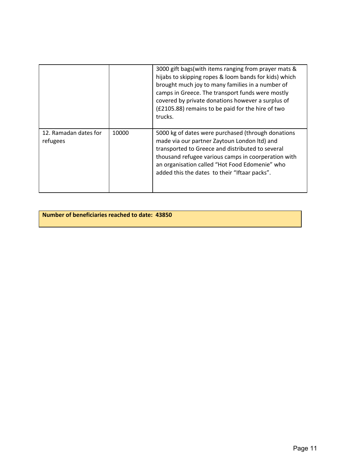|                                   |       | 3000 gift bags(with items ranging from prayer mats &<br>hijabs to skipping ropes & loom bands for kids) which<br>brought much joy to many families in a number of<br>camps in Greece. The transport funds were mostly<br>covered by private donations however a surplus of<br>(£2105.88) remains to be paid for the hire of two<br>trucks. |
|-----------------------------------|-------|--------------------------------------------------------------------------------------------------------------------------------------------------------------------------------------------------------------------------------------------------------------------------------------------------------------------------------------------|
| 12. Ramadan dates for<br>refugees | 10000 | 5000 kg of dates were purchased (through donations<br>made via our partner Zaytoun London ltd) and<br>transported to Greece and distributed to several<br>thousand refugee various camps in coorperation with<br>an organisation called "Hot Food Edomenie" who<br>added this the dates to their "Iftaar packs".                           |

**Number of beneficiaries reached to date: 43850**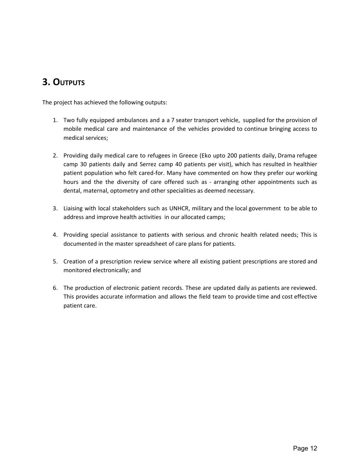### <span id="page-11-0"></span>**3. OUTPUTS**

The project has achieved the following outputs:

- 1. Two fully equipped ambulances and a a 7 seater transport vehicle, supplied for the provision of mobile medical care and maintenance of the vehicles provided to continue bringing access to medical services;
- 2. Providing daily medical care to refugees in Greece (Eko upto 200 patients daily, Drama refugee camp 30 patients daily and Serrez camp 40 patients per visit), which has resulted in healthier patient population who felt cared-for. Many have commented on how they prefer our working hours and the the diversity of care offered such as - arranging other appointments such as dental, maternal, optometry and other specialities as deemed necessary.
- 3. Liaising with local stakeholders such as UNHCR, military and the local government to be able to address and improve health activities in our allocated camps;
- 4. Providing special assistance to patients with serious and chronic health related needs; This is documented in the master spreadsheet of care plans for patients.
- 5. Creation of a prescription review service where all existing patient prescriptions are stored and monitored electronically; and
- 6. The production of electronic patient records. These are updated daily as patients are reviewed. This provides accurate information and allows the field team to provide time and cost effective patient care.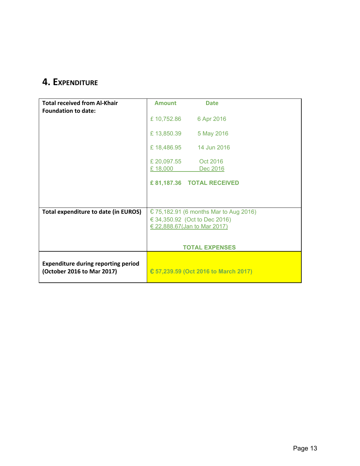# <span id="page-12-0"></span>**4. EXPENDITURE**

| <b>Total received from Al-Khair</b>                                      | <b>Amount</b>                          | <b>Date</b>                          |
|--------------------------------------------------------------------------|----------------------------------------|--------------------------------------|
| <b>Foundation to date:</b>                                               |                                        |                                      |
|                                                                          |                                        | £10,752.86 6 Apr 2016                |
|                                                                          |                                        | £13,850.39 5 May 2016                |
|                                                                          |                                        | £ 18,486.95   14 Jun 2016            |
|                                                                          | £ 20,097.55                            | Oct 2016                             |
|                                                                          | £18,000                                | Dec 2016                             |
|                                                                          |                                        | £81,187.36 TOTAL RECEIVED            |
|                                                                          |                                        |                                      |
| <b>Total expenditure to date (in EUROS)</b>                              | € 75,182.91 (6 months Mar to Aug 2016) |                                      |
|                                                                          | € 34,350.92 (Oct to Dec 2016)          |                                      |
|                                                                          | € 22,888.67(Jan to Mar 2017)           |                                      |
|                                                                          |                                        |                                      |
|                                                                          | <b>TOTAL EXPENSES</b>                  |                                      |
|                                                                          |                                        |                                      |
| <b>Expenditure during reporting period</b><br>(October 2016 to Mar 2017) |                                        | € 57,239.59 (Oct 2016 to March 2017) |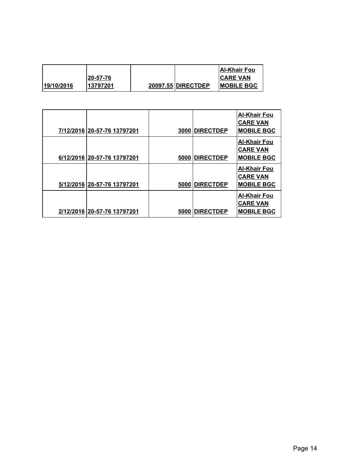|            |           |                    | <b>IAI-Khair Fou</b> |
|------------|-----------|--------------------|----------------------|
|            | l20-57-76 |                    | <b>CARE VAN</b>      |
| 19/10/2016 | 13797201  | 20097.55 DIRECTDEP | <b>IMOBILE BGC</b>   |

| 7/12/2016 20-57-76 13797201 |      | 3000 DIRECTDEP    | Al-Khair Fou<br><b>CARE VAN</b><br><b>MOBILE BGC</b>        |
|-----------------------------|------|-------------------|-------------------------------------------------------------|
| 6/12/2016 20-57-76 13797201 |      | 5000 DIRECTDEP    | <u>Al-Khair Fou</u><br><b>CARE VAN</b><br><b>MOBILE BGC</b> |
| 5/12/2016 20-57-76 13797201 |      | 5000 DIRECTDEP    | <b>Al-Khair Fou</b><br><b>CARE VAN</b><br><b>MOBILE BGC</b> |
| 2/12/2016 20-57-76 13797201 | 5000 | <b>IDIRECTDEP</b> | <u>Al-Khair Fou</u><br><b>CARE VAN</b><br><b>MOBILE BGC</b> |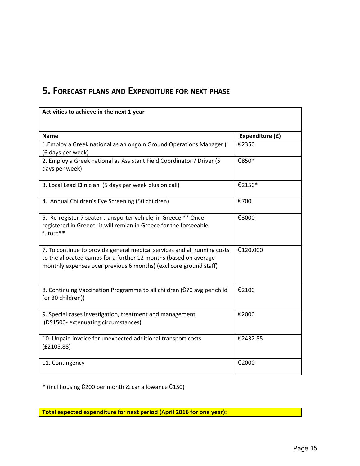# <span id="page-14-0"></span>**5. FORECAST PLANS AND EXPENDITURE FOR NEXT PHASE**

| Activities to achieve in the next 1 year                                                                                                                                                                          |                 |
|-------------------------------------------------------------------------------------------------------------------------------------------------------------------------------------------------------------------|-----------------|
|                                                                                                                                                                                                                   |                 |
| <b>Name</b>                                                                                                                                                                                                       | Expenditure (£) |
| 1. Employ a Greek national as an ongoin Ground Operations Manager (<br>(6 days per week)                                                                                                                          | €2350           |
| 2. Employ a Greek national as Assistant Field Coordinator / Driver (5<br>days per week)                                                                                                                           | €850*           |
| 3. Local Lead Clinician (5 days per week plus on call)                                                                                                                                                            | €2150*          |
| 4. Annual Children's Eye Screening (50 children)                                                                                                                                                                  | €700            |
| 5. Re-register 7 seater transporter vehicle in Greece ** Once<br>registered in Greece- it will remian in Greece for the forseeable<br>future**                                                                    | €3000           |
| 7. To continue to provide general medical services and all running costs<br>to the allocated camps for a further 12 months (based on average<br>monthly expenses over previous 6 months) (excl core ground staff) | €120,000        |
| 8. Continuing Vaccination Programme to all children (€70 avg per child<br>for 30 children))                                                                                                                       | €2100           |
| 9. Special cases investigation, treatment and management<br>(DS1500- extenuating circumstances)                                                                                                                   | €2000           |
| 10. Unpaid invoice for unexpected additional transport costs<br>(E2105.88)                                                                                                                                        | €2432.85        |
| 11. Contingency                                                                                                                                                                                                   | €2000           |

\* (incl housing €200 per month & car allowance €150)

**Total expected expenditure for next period (April 2016 for one year):**